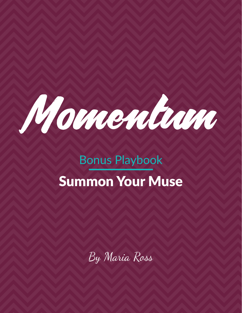

# Bonus Playbook Summon Your Muse

By Maria Ross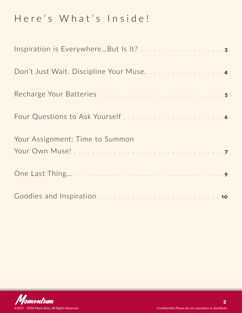# Here's What's Inside!

| Don't Just Wait. Discipline Your Muse. 4 |  |
|------------------------------------------|--|
|                                          |  |
|                                          |  |
| Your Assignment: Time to Summon          |  |
|                                          |  |
|                                          |  |

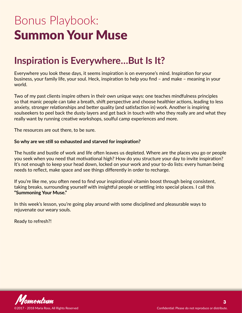# <span id="page-2-0"></span>Bonus Playbook: Summon Your Muse

### **Inspiration is Everywhere…But Is It?**

Everywhere you look these days, it seems inspiration is on everyone's mind. Inspiration for your business, your family life, your soul. Heck, inspiration to help you find – and make – meaning in your world.

Two of my past clients inspire others in their own unique ways: one [teaches mindfulness principles](http://www.withpause.com/) so that manic people can take a breath, shift perspective and choose healthier actions, leading to less anxiety, stronger relationships and better quality (and satisfaction in) work. [Another is inspiring](http://www.souldust.com/)  [soulseekers](http://www.souldust.com/) to peel back the dusty layers and get back in touch with who they really are and what they really want by running creative workshops, soulful camp experiences and more.

The resources are out there, to be sure.

#### **So why are we still so exhausted and starved for inspiration?**

The hustle and bustle of work and life often leaves us depleted. Where are the places you go or people you seek when you need that motivational high? How do you structure your day to invite inspiration? It's not enough to keep your head down, locked on your work and your to-do lists: every human being needs to reflect, make space and see things differently in order to recharge.

If you're like me, you often need to find your inspirational vitamin boost through being consistent, taking breaks, surrounding yourself with insightful people or settling into special places. I call this **"Summoning Your Muse."**

In this week's lesson, you're going play around with some disciplined and pleasurable ways to rejuvenate our weary souls.

Ready to refresh?!

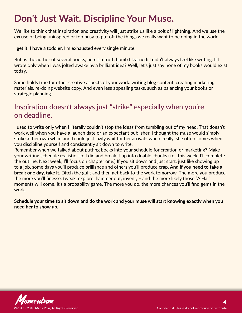# <span id="page-3-0"></span>**Don't Just Wait. Discipline Your Muse.**

We like to think that inspiration and creativity will just strike us like a bolt of lightning. And we use the excuse of being uninspired or too busy to put off the things we really want to be doing in the world.

I get it. I have a toddler. I'm exhausted every single minute.

But as the author of several books, here's a truth bomb I learned: I didn't always feel like writing. If I wrote only when I was jolted awake by a brilliant idea? Well, let's just say none of my books would exist today.

Same holds true for other creative aspects of your work: writing blog content, creating marketing materials, re-doing website copy. And even less appealing tasks, such as balancing your books or strategic planning.

### Inspiration doesn't always just "strike" especially when you're on deadline.

I used to write only when I literally couldn't stop the ideas from tumbling out of my head. That doesn't work well when you have a launch date or an expectant publisher. I thought the muse would simply strike at her own whim and I could just lazily wait for her arrival– when, really, she often comes when you discipline yourself and consistently sit down to write.

Remember when we talked about putting bocks into your schedule for creation or marketing? Make your writing schedule realistic like I did and break it up into doable chunks (i.e., this week, I'll complete the outline. Next week, I'll focus on chapter one.) If you sit down and just start, just like showing up to a job, some days you'll produce brilliance and others you'll produce crap. **And if you need to take a break one day, take it.** Ditch the guilt and then get back to the work tomorrow. The more you produce, the more you'll finesse, tweak, explore, hammer out, invent, – and the more likely those "A Ha!" moments will come. It's a probability game. The more you do, the more chances you'll find gems in the work.

**Schedule your time to sit down and do the work and your muse will start knowing exactly when you need her to show up.**

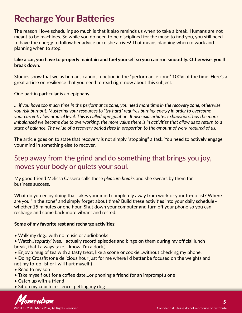## <span id="page-4-0"></span>**Recharge Your Batteries**

The reason I love scheduling so much is that it also reminds us when to take a break. Humans are not meant to be machines. So while you do need to be disciplined for the muse to find you, you still need to have the energy to follow her advice once she arrives! That means planning when to work and planning when to stop.

#### **Like a car, you have to properly maintain and fuel yourself so you can run smoothly. Otherwise, you'll break down.**

Studies show that we as humans cannot function in the "performance zone" 100% of the time. Here's a [great article](https://hbr.org/2016/06/resilience-is-about-how-you-recharge-not-how-you-endure) on resilience that you need to read right now about this subject.

One part in particular is an epiphany:

*… if you have too much time in the performance zone, you need more time in the recovery zone, otherwise you risk burnout. Mustering your resources to "try hard" requires burning energy in order to overcome your currently low arousal level. This is called upregulation. It also exacerbates exhaustion.Thus the more imbalanced we become due to overworking, the more value there is in activities that allow us to return to a state of balance. The value of a recovery period rises in proportion to the amount of work required of us.*

The article goes on to state that recovery is not simply "stopping" a task. You need to actively engage your mind in something else to recover.

### Step away from the grind and do something that brings you joy, moves your body or quiets your soul.

My good friend Melissa Cassera calls these *pleasure breaks* and she swears by them for business success.

What do you enjoy doing that takes your mind completely away from work or your to-do list? Where are you "in the zone" and simply forget about time? Build these activities into your daily schedule– whether 15 minutes or one hour. Shut down your computer and turn off your phone so you can recharge and come back more vibrant and rested.

### **Some of my favorite rest and recharge activities:**

- Walk my dog…with no music or audiobooks
- Watch *Jeopardy!* (yes, I actually record episodes and binge on them during my official lunch break, that I always take. I know, I'm a dork.)
- Enjoy a mug of tea with a tasty treat, like a scone or cookie…without checking my phone.
- Doing Crossfit (one delicious hour just for me where I'd better be focused on the weights and not my to-do list or I will hurt myself!)
- Read to my son
- Take myself out for a coffee date…or phoning a friend for an impromptu one
- Catch up with a friend
- Sit on my couch in silence, petting my dog

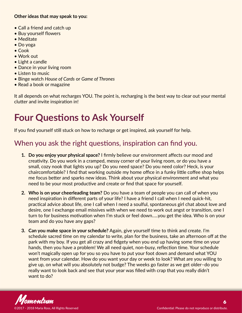### <span id="page-5-0"></span>**Other ideas that may speak to you:**

- Call a friend and catch up
- Buy yourself flowers
- Meditate
- Do yoga
- Cook
- Work out
- Light a candle
- Dance in your living room
- Listen to music
- Binge watch *House of Cards* or *Game of Thrones*
- Read a book or magazine

It all depends on what recharges YOU. The point is, recharging is the best way to clear out your mental clutter and invite inspiration in!

# **Four Questions to Ask Yourself**

If you find yourself still stuck on how to recharge or get inspired, ask yourself for help.

### When you ask the right questions, inspiration can find you.

- **1. Do you enjoy your physical space?** I firmly believe our environment affects our mood and creativity. Do you work in a cramped, messy corner of your living room, or do you have a small, cozy nook that lights you up? Do you need space? Do you need color? Heck, is your chaircomfortable? I find that working outside my home office in a funky little coffee shop helps me focus better and sparks new ideas. Think about your physical environment and what you need to be your most productive and create or find that space for yourself.
- **2. Who is on your cheerleading team?** Do you have a team of people you can call of when you need inspiration in different parts of your life? I have a friend I call when I need quick-hit, practical advice about life, one I call when I need a soulful, spontaneous girl chat about love and desire, one I exchange email missives with when we need to work out angst or transition, one I turn to for business motivation when I'm stuck or feel down…..you get the idea. Who is on your team and do you have any gaps?
- **3. Can you make space in your schedule?** Again, give yourself time to think and create. I'm schedule sacred time on my calendar to write, plan for the business, take an afternoon off at the park with my boy. If you get all crazy and fidgety when you end up having some time on your hands, then you have a problem! We all need quiet, non-busy, reflection time. Your schedule won't magically open up for you so you have to put your foot down and demand what YOU want from your calendar. How do you want your day or week to look? What are you willing to give up, on what will you absolutely not budge? The weeks go faster as we get older–do you really want to look back and see that your year was filled with crap that you really didn't want to do?

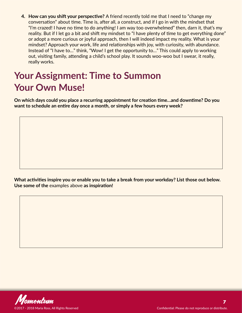<span id="page-6-0"></span>**4. How can you shift your perspective?** A friend recently told me that I need to "change my conversation" about time. Time is, after all, a construct, and if I go in with the mindset that "I'm crazed! I have no time to do anything! I am way too overwhelmed" then, darn it, that's my reality. But if I let go a bit and shift my mindset to "I have plenty of time to get everything done" or adopt a more curious or joyful approach, then I will indeed impact my reality. What is your mindset? Approach your work, life and relationships with joy, with curiosity, with abundance. Instead of "I have to…" think, "Wow! I get the opportunity to…" This could apply to working out, visiting family, attending a child's school play. It sounds woo-woo but I swear, it really, really works.

# **Your Assignment: Time to Summon Your Own Muse!**

**On which days could you place a recurring appointment for creation time…and downtime? Do you want to schedule an entire day once a month, or simply a few hours every week?** 

**What activities inspire you or enable you to take a break from your workday? List those out below. Use some of the** [examples above](#page-4-0) **as inspiration!** 

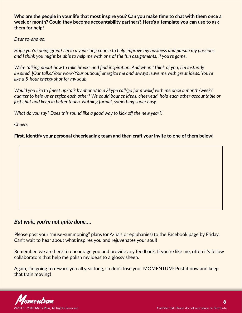**Who are the people in your life that most inspire you? Can you make time to chat with them once a week or month? Could they become accountability partners? Here's a template you can use to ask them for help!**

*Dear so-and-so,*

*Hope you're doing great! I'm in a year-long course to help improve my business and pursue my passions, and I think you might be able to help me with one of the fun assignments, if you're game.*

*We're talking about how to take breaks and find inspiration. And when I think of you, I'm instantly inspired. [Our talks/Your work/Your outlook] energize me and always leave me with great ideas. You're like a 5-hour energy shot for my soul!*

*Would you like to [meet up/talk by phone/do a Skype call/go for a walk] with me once a month/week/ quarter to help us energize each other? We could bounce ideas, cheerlead, hold each other accountable or just chat and keep in better touch. Nothing formal, something super easy.*

*What do you say? Does this sound like a good way to kick off the new year?!*

*Cheers,*

**First, identify your personal cheerleading team and then craft your invite to one of them below!**

### *But wait, you're not quite done….*

Please post your "muse-summoning" plans (or A-ha's or epiphanies) to the Facebook page by Friday. Can't wait to hear about what inspires you and rejuvenates your soul!

Remember, we are here to encourage you and provide any feedback. If you're like me, often it's fellow collaborators that help me polish my ideas to a glossy sheen.

Again, I'm going to reward you all year long, so don't lose your MOMENTUM: Post it now and keep that train moving!

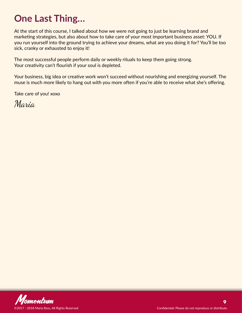# <span id="page-8-0"></span>**One Last Thing…**

At the start of this course, I talked about how we were not going to just be learning brand and marketing strategies, but also about how to take care of your most important business asset: YOU. If you run yourself into the ground trying to achieve your dreams, what are you doing it for? You'll be too sick, cranky or exhausted to enjoy it!

The most successful people perform daily or weekly rituals to keep them going strong. Your creativity can't flourish if your soul is depleted.

Your business, big idea or creative work won't succeed without nourishing and energizing yourself. The muse is much more likely to hang out with you more often if you're able to receive what she's offering.

Take care of you! xoxo

Maria